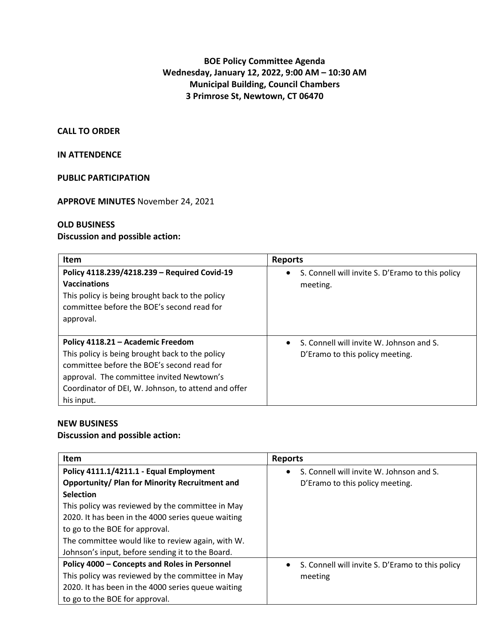# **BOE Policy Committee Agenda Wednesday, January 12, 2022, 9:00 AM – 10:30 AM Municipal Building, Council Chambers 3 Primrose St, Newtown, CT 06470**

### **CALL TO ORDER**

# **IN ATTENDENCE**

## **PUBLIC PARTICIPATION**

## **APPROVE MINUTES** November 24, 2021

## **OLD BUSINESS**

# **Discussion and possible action:**

| <b>Item</b>                                                                                                                                                                                                                                          | <b>Reports</b>                                                              |
|------------------------------------------------------------------------------------------------------------------------------------------------------------------------------------------------------------------------------------------------------|-----------------------------------------------------------------------------|
| Policy 4118.239/4218.239 - Required Covid-19<br><b>Vaccinations</b><br>This policy is being brought back to the policy<br>committee before the BOE's second read for<br>approval.                                                                    | S. Connell will invite S. D'Eramo to this policy<br>$\bullet$<br>meeting.   |
| Policy 4118.21 - Academic Freedom<br>This policy is being brought back to the policy<br>committee before the BOE's second read for<br>approval. The committee invited Newtown's<br>Coordinator of DEI, W. Johnson, to attend and offer<br>his input. | S. Connell will invite W. Johnson and S.<br>D'Eramo to this policy meeting. |

## **NEW BUSINESS**

# **Discussion and possible action:**

| <b>Item</b>                                           | <b>Reports</b>                                                |
|-------------------------------------------------------|---------------------------------------------------------------|
| Policy 4111.1/4211.1 - Equal Employment               | S. Connell will invite W. Johnson and S.<br>$\bullet$         |
| <b>Opportunity/ Plan for Minority Recruitment and</b> | D'Eramo to this policy meeting.                               |
| <b>Selection</b>                                      |                                                               |
| This policy was reviewed by the committee in May      |                                                               |
| 2020. It has been in the 4000 series queue waiting    |                                                               |
| to go to the BOE for approval.                        |                                                               |
| The committee would like to review again, with W.     |                                                               |
| Johnson's input, before sending it to the Board.      |                                                               |
| Policy 4000 - Concepts and Roles in Personnel         | S. Connell will invite S. D'Eramo to this policy<br>$\bullet$ |
| This policy was reviewed by the committee in May      | meeting                                                       |
| 2020. It has been in the 4000 series queue waiting    |                                                               |
| to go to the BOE for approval.                        |                                                               |